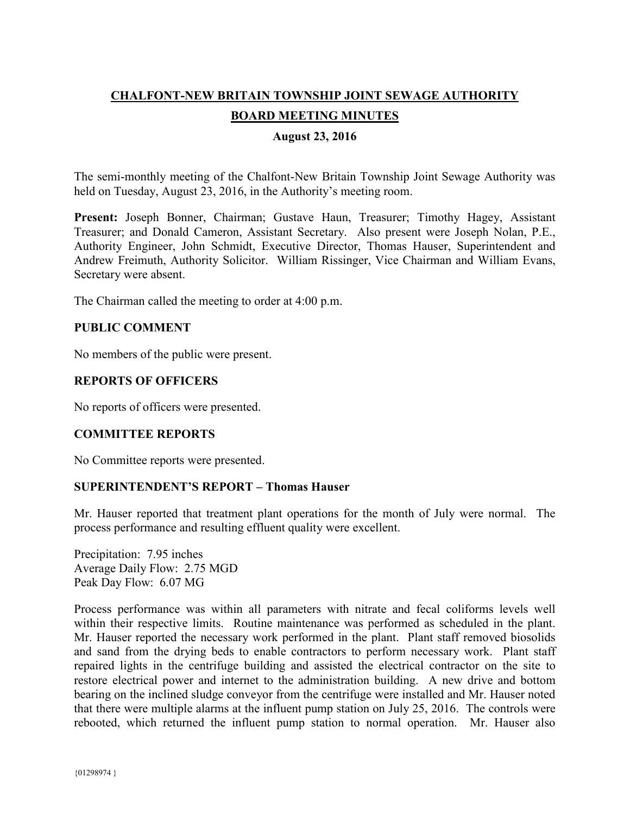# **CHALFONT-NEW BRITAIN TOWNSHIP JOINT SEWAGE AUTHORITY BOARD MEETING MINUTES**

# **August 23, 2016**

The semi-monthly meeting of the Chalfont-New Britain Township Joint Sewage Authority was held on Tuesday, August 23, 2016, in the Authority's meeting room.

**Present:** Joseph Bonner, Chairman; Gustave Haun, Treasurer; Timothy Hagey, Assistant Treasurer; and Donald Cameron, Assistant Secretary. Also present were Joseph Nolan, P.E., Authority Engineer, John Schmidt, Executive Director, Thomas Hauser, Superintendent and Andrew Freimuth, Authority Solicitor. William Rissinger, Vice Chairman and William Evans, Secretary were absent.

The Chairman called the meeting to order at 4:00 p.m.

## **PUBLIC COMMENT**

No members of the public were present.

## **REPORTS OF OFFICERS**

No reports of officers were presented.

## **COMMITTEE REPORTS**

No Committee reports were presented.

## **SUPERINTENDENT'S REPORT – Thomas Hauser**

Mr. Hauser reported that treatment plant operations for the month of July were normal. The process performance and resulting effluent quality were excellent.

Precipitation: 7.95 inches Average Daily Flow: 2.75 MGD Peak Day Flow: 6.07 MG

Process performance was within all parameters with nitrate and fecal coliforms levels well within their respective limits. Routine maintenance was performed as scheduled in the plant. Mr. Hauser reported the necessary work performed in the plant. Plant staff removed biosolids and sand from the drying beds to enable contractors to perform necessary work. Plant staff repaired lights in the centrifuge building and assisted the electrical contractor on the site to restore electrical power and internet to the administration building. A new drive and bottom bearing on the inclined sludge conveyor from the centrifuge were installed and Mr. Hauser noted that there were multiple alarms at the influent pump station on July 25, 2016. The controls were rebooted, which returned the influent pump station to normal operation. Mr. Hauser also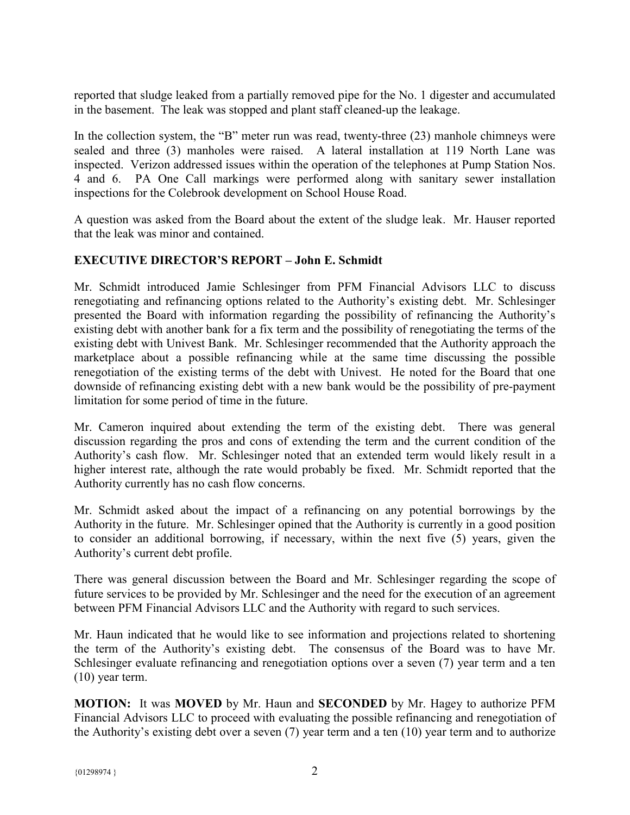reported that sludge leaked from a partially removed pipe for the No. 1 digester and accumulated in the basement. The leak was stopped and plant staff cleaned-up the leakage.

In the collection system, the "B" meter run was read, twenty-three (23) manhole chimneys were sealed and three (3) manholes were raised. A lateral installation at 119 North Lane was inspected. Verizon addressed issues within the operation of the telephones at Pump Station Nos. 4 and 6. PA One Call markings were performed along with sanitary sewer installation inspections for the Colebrook development on School House Road.

A question was asked from the Board about the extent of the sludge leak. Mr. Hauser reported that the leak was minor and contained.

# **EXECUTIVE DIRECTOR'S REPORT – John E. Schmidt**

Mr. Schmidt introduced Jamie Schlesinger from PFM Financial Advisors LLC to discuss renegotiating and refinancing options related to the Authority's existing debt. Mr. Schlesinger presented the Board with information regarding the possibility of refinancing the Authority's existing debt with another bank for a fix term and the possibility of renegotiating the terms of the existing debt with Univest Bank. Mr. Schlesinger recommended that the Authority approach the marketplace about a possible refinancing while at the same time discussing the possible renegotiation of the existing terms of the debt with Univest. He noted for the Board that one downside of refinancing existing debt with a new bank would be the possibility of pre-payment limitation for some period of time in the future.

Mr. Cameron inquired about extending the term of the existing debt. There was general discussion regarding the pros and cons of extending the term and the current condition of the Authority's cash flow. Mr. Schlesinger noted that an extended term would likely result in a higher interest rate, although the rate would probably be fixed. Mr. Schmidt reported that the Authority currently has no cash flow concerns.

Mr. Schmidt asked about the impact of a refinancing on any potential borrowings by the Authority in the future. Mr. Schlesinger opined that the Authority is currently in a good position to consider an additional borrowing, if necessary, within the next five (5) years, given the Authority's current debt profile.

There was general discussion between the Board and Mr. Schlesinger regarding the scope of future services to be provided by Mr. Schlesinger and the need for the execution of an agreement between PFM Financial Advisors LLC and the Authority with regard to such services.

Mr. Haun indicated that he would like to see information and projections related to shortening the term of the Authority's existing debt. The consensus of the Board was to have Mr. Schlesinger evaluate refinancing and renegotiation options over a seven (7) year term and a ten (10) year term.

**MOTION:** It was **MOVED** by Mr. Haun and **SECONDED** by Mr. Hagey to authorize PFM Financial Advisors LLC to proceed with evaluating the possible refinancing and renegotiation of the Authority's existing debt over a seven (7) year term and a ten (10) year term and to authorize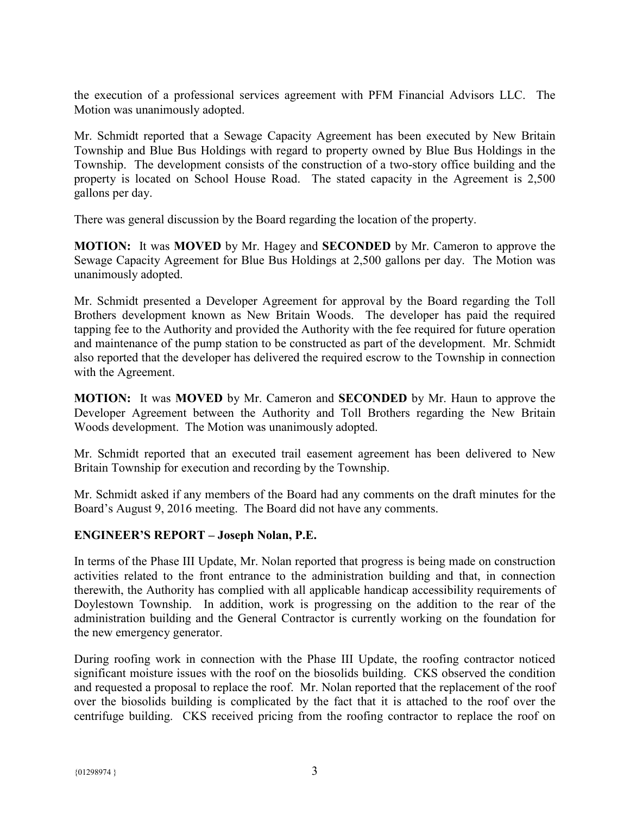the execution of a professional services agreement with PFM Financial Advisors LLC. The Motion was unanimously adopted.

Mr. Schmidt reported that a Sewage Capacity Agreement has been executed by New Britain Township and Blue Bus Holdings with regard to property owned by Blue Bus Holdings in the Township. The development consists of the construction of a two-story office building and the property is located on School House Road. The stated capacity in the Agreement is 2,500 gallons per day.

There was general discussion by the Board regarding the location of the property.

**MOTION:** It was **MOVED** by Mr. Hagey and **SECONDED** by Mr. Cameron to approve the Sewage Capacity Agreement for Blue Bus Holdings at 2,500 gallons per day. The Motion was unanimously adopted.

Mr. Schmidt presented a Developer Agreement for approval by the Board regarding the Toll Brothers development known as New Britain Woods. The developer has paid the required tapping fee to the Authority and provided the Authority with the fee required for future operation and maintenance of the pump station to be constructed as part of the development. Mr. Schmidt also reported that the developer has delivered the required escrow to the Township in connection with the Agreement.

**MOTION:** It was **MOVED** by Mr. Cameron and **SECONDED** by Mr. Haun to approve the Developer Agreement between the Authority and Toll Brothers regarding the New Britain Woods development. The Motion was unanimously adopted.

Mr. Schmidt reported that an executed trail easement agreement has been delivered to New Britain Township for execution and recording by the Township.

Mr. Schmidt asked if any members of the Board had any comments on the draft minutes for the Board's August 9, 2016 meeting. The Board did not have any comments.

## **ENGINEER'S REPORT – Joseph Nolan, P.E.**

In terms of the Phase III Update, Mr. Nolan reported that progress is being made on construction activities related to the front entrance to the administration building and that, in connection therewith, the Authority has complied with all applicable handicap accessibility requirements of Doylestown Township. In addition, work is progressing on the addition to the rear of the administration building and the General Contractor is currently working on the foundation for the new emergency generator.

During roofing work in connection with the Phase III Update, the roofing contractor noticed significant moisture issues with the roof on the biosolids building. CKS observed the condition and requested a proposal to replace the roof. Mr. Nolan reported that the replacement of the roof over the biosolids building is complicated by the fact that it is attached to the roof over the centrifuge building. CKS received pricing from the roofing contractor to replace the roof on